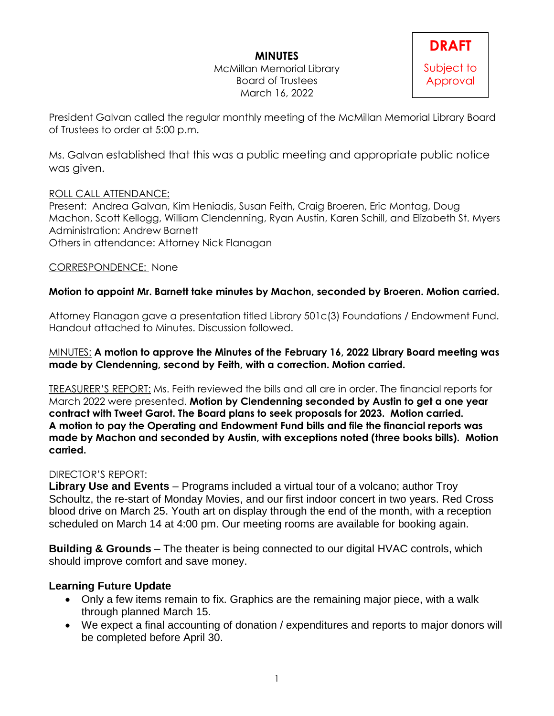## **MINUTES**

McMillan Memorial Library Board of Trustees March 16, 2022



President Galvan called the regular monthly meeting of the McMillan Memorial Library Board of Trustees to order at 5:00 p.m.

Ms. Galvan established that this was a public meeting and appropriate public notice was given.

### ROLL CALL ATTENDANCE:

Present: Andrea Galvan, Kim Heniadis, Susan Feith, Craig Broeren, Eric Montag, Doug Machon, Scott Kellogg, William Clendenning, Ryan Austin, Karen Schill, and Elizabeth St. Myers Administration: Andrew Barnett Others in attendance: Attorney Nick Flanagan

### CORRESPONDENCE: None

### **Motion to appoint Mr. Barnett take minutes by Machon, seconded by Broeren. Motion carried.**

Attorney Flanagan gave a presentation titled Library 501c(3) Foundations / Endowment Fund. Handout attached to Minutes. Discussion followed.

#### MINUTES: **A motion to approve the Minutes of the February 16, 2022 Library Board meeting was made by Clendenning, second by Feith, with a correction. Motion carried.**

TREASURER'S REPORT: Ms. Feith reviewed the bills and all are in order. The financial reports for March 2022 were presented. **Motion by Clendenning seconded by Austin to get a one year contract with Tweet Garot. The Board plans to seek proposals for 2023. Motion carried. A motion to pay the Operating and Endowment Fund bills and file the financial reports was made by Machon and seconded by Austin, with exceptions noted (three books bills). Motion carried.**

#### DIRECTOR'S REPORT:

**Library Use and Events** – Programs included a virtual tour of a volcano; author Troy Schoultz, the re-start of Monday Movies, and our first indoor concert in two years. Red Cross blood drive on March 25. Youth art on display through the end of the month, with a reception scheduled on March 14 at 4:00 pm. Our meeting rooms are available for booking again.

**Building & Grounds** – The theater is being connected to our digital HVAC controls, which should improve comfort and save money.

# **Learning Future Update**

- Only a few items remain to fix. Graphics are the remaining major piece, with a walk through planned March 15.
- We expect a final accounting of donation / expenditures and reports to major donors will be completed before April 30.